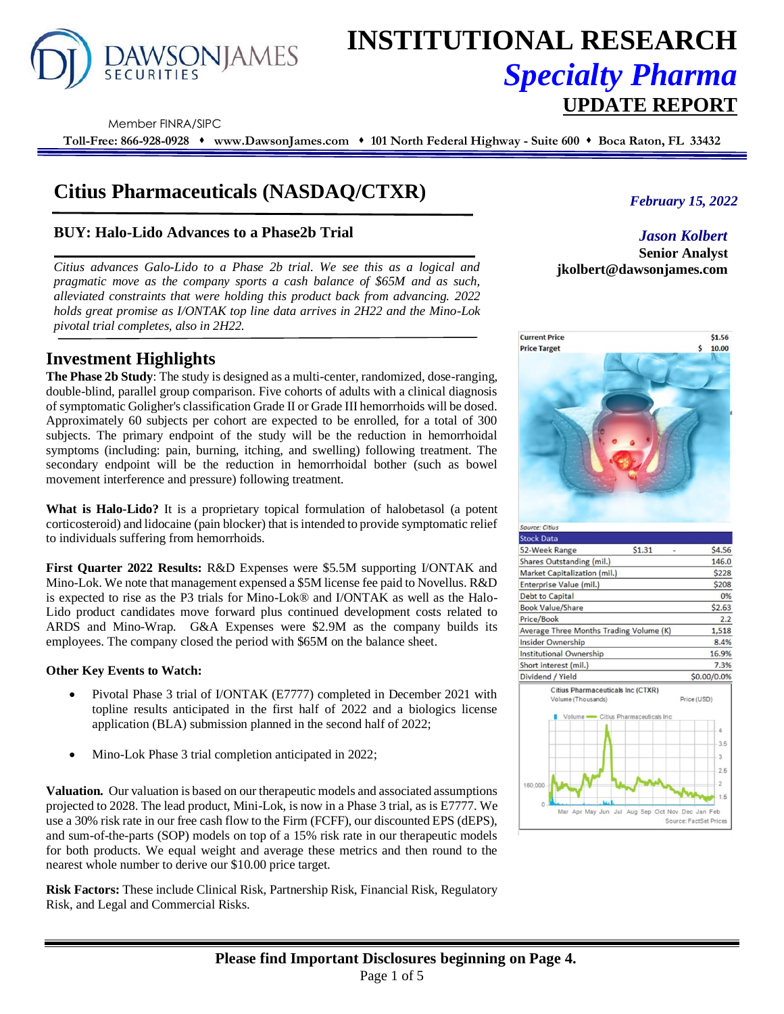

# **INSTITUTIONAL RESEARCH** *Specialty Pharma*  **UPDATE REPORT**

Member FINRA/SIPC

**Toll-Free: 866-928-0928** ⬧ **www.DawsonJames.com** ⬧ **101 North Federal Highway - Suite 600** ⬧ **Boca Raton, FL 33432**

## **Citius Pharmaceuticals (NASDAQ/CTXR)**

### **BUY: Halo-Lido Advances to a Phase2b Trial**

*Citius advances Galo-Lido to a Phase 2b trial. We see this as a logical and pragmatic move as the company sports a cash balance of \$65M and as such, alleviated constraints that were holding this product back from advancing. 2022 holds great promise as I/ONTAK top line data arrives in 2H22 and the Mino-Lok pivotal trial completes, also in 2H22.*

### **Investment Highlights**

**The Phase 2b Study**: The study is designed as a multi-center, randomized, dose-ranging, double-blind, parallel group comparison. Five cohorts of adults with a clinical diagnosis of symptomatic Goligher's classification Grade II or Grade III hemorrhoids will be dosed. Approximately 60 subjects per cohort are expected to be enrolled, for a total of 300 subjects. The primary endpoint of the study will be the reduction in hemorrhoidal symptoms (including: pain, burning, itching, and swelling) following treatment. The secondary endpoint will be the reduction in hemorrhoidal bother (such as bowel movement interference and pressure) following treatment.

**What is Halo-Lido?** It is a proprietary topical formulation of halobetasol (a potent corticosteroid) and lidocaine (pain blocker) that is intended to provide symptomatic relief to individuals suffering from hemorrhoids.

**First Quarter 2022 Results:** R&D Expenses were \$5.5M supporting I/ONTAK and Mino-Lok. We note that management expensed a \$5M license fee paid to Novellus. R&D is expected to rise as the P3 trials for Mino-Lok® and I/ONTAK as well as the Halo-Lido product candidates move forward plus continued development costs related to ARDS and Mino-Wrap. G&A Expenses were \$2.9M as the company builds its employees. The company closed the period with \$65M on the balance sheet.

#### **Other Key Events to Watch:**

- Pivotal Phase 3 trial of I/ONTAK (E7777) completed in December 2021 with topline results anticipated in the first half of 2022 and a biologics license application (BLA) submission planned in the second half of 2022;
- Mino-Lok Phase 3 trial completion anticipated in 2022;

**Valuation.** Our valuation is based on our therapeutic models and associated assumptions projected to 2028. The lead product, Mini-Lok, is now in a Phase 3 trial, as is E7777. We use a 30% risk rate in our free cash flow to the Firm (FCFF), our discounted EPS (dEPS), and sum-of-the-parts (SOP) models on top of a 15% risk rate in our therapeutic models for both products. We equal weight and average these metrics and then round to the nearest whole number to derive our \$10.00 price target.

**Risk Factors:** These include Clinical Risk, Partnership Risk, Financial Risk, Regulatory Risk, and Legal and Commercial Risks.

*February 15, 2022*

*Jason Kolbert* **Senior Analyst jkolbert@dawsonjames.com**

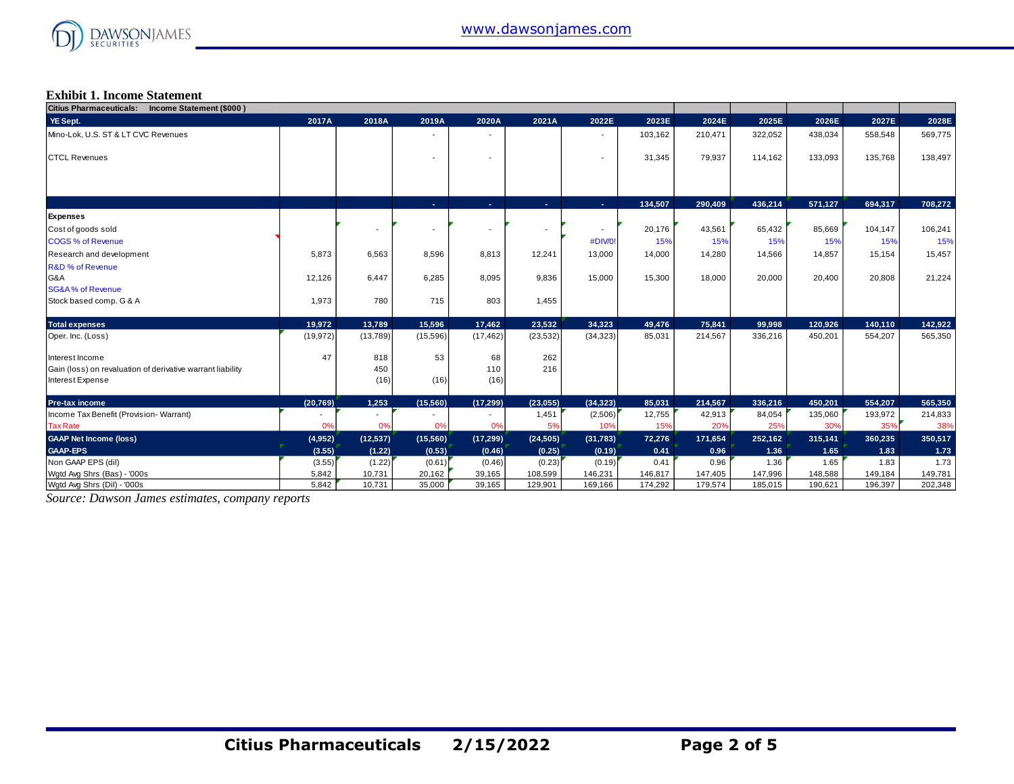

#### **Exhibit 1. Income Statement**

| Citius Pharmaceuticals: Income Statement (\$000)           |                          |                          |          |                          |           |           |         |         |         |         |         |         |
|------------------------------------------------------------|--------------------------|--------------------------|----------|--------------------------|-----------|-----------|---------|---------|---------|---------|---------|---------|
| YE Sept.                                                   | 2017A                    | 2018A                    | 2019A    | 2020A                    | 2021A     | 2022E     | 2023E   | 2024E   | 2025E   | 2026E   | 2027E   | 2028E   |
| Mino-Lok, U.S. ST & LT CVC Revenues                        |                          |                          |          |                          |           |           | 103,162 | 210,471 | 322,052 | 438,034 | 558,548 | 569,775 |
|                                                            |                          |                          |          |                          |           |           |         |         |         |         |         |         |
| <b>CTCL Revenues</b>                                       |                          |                          |          | $\overline{\phantom{a}}$ |           |           | 31,345  | 79,937  | 114,162 | 133,093 | 135,768 | 138,497 |
|                                                            |                          |                          |          |                          |           |           |         |         |         |         |         |         |
|                                                            |                          |                          |          |                          |           |           |         |         |         |         |         |         |
|                                                            |                          |                          | A.       | A.                       | ÷.        | A.        | 134,507 | 290,409 | 436,214 | 571,127 | 694,317 | 708,272 |
| Expenses                                                   |                          |                          |          |                          |           |           |         |         |         |         |         |         |
| Cost of goods sold                                         |                          |                          |          | $\overline{\phantom{a}}$ |           |           | 20,176  | 43,561  | 65,432  | 85,669  | 104,147 | 106,241 |
| <b>COGS % of Revenue</b>                                   |                          |                          |          |                          |           | #DIV/0!   | 15%     | 15%     | 15%     | 15%     | 15%     | 15%     |
| Research and development                                   | 5,873                    | 6,563                    | 8,596    | 8,813                    | 12,241    | 13,000    | 14,000  | 14,280  | 14,566  | 14,857  | 15,154  | 15,457  |
| <b>R&amp;D % of Revenue</b>                                |                          |                          |          |                          |           |           |         |         |         |         |         |         |
| G&A                                                        | 12,126                   | 6.447                    | 6,285    | 8,095                    | 9,836     | 15,000    | 15,300  | 18,000  | 20,000  | 20,400  | 20,808  | 21,224  |
| <b>SG&amp;A% of Revenue</b>                                |                          |                          |          |                          |           |           |         |         |         |         |         |         |
| Stock based comp. G & A                                    | 1,973                    | 780                      | 715      | 803                      | 1,455     |           |         |         |         |         |         |         |
| <b>Total expenses</b>                                      | 19,972                   | 13,789                   | 15,596   | 17,462                   | 23.532    | 34,323    | 49,476  | 75,841  | 99,998  | 120,926 | 140,110 | 142,922 |
| Oper. Inc. (Loss)                                          | (19, 972)                | (13,789)                 | (15,596) | (17, 462)                | (23, 532) | (34, 323) | 85,031  | 214,567 | 336,216 | 450,201 | 554,207 | 565,350 |
| Interest Income                                            | 47                       | 818                      | 53       | 68                       | 262       |           |         |         |         |         |         |         |
| Gain (loss) on revaluation of derivative warrant liability |                          | 450                      |          | 110                      | 216       |           |         |         |         |         |         |         |
| Interest Expense                                           |                          | (16)                     | (16)     | (16)                     |           |           |         |         |         |         |         |         |
| Pre-tax income                                             | (20, 769)                | 1,253                    | (15,560) | (17, 299)                | (23,055)  | (34, 323) | 85,031  | 214,567 | 336,216 | 450,201 | 554,207 | 565,350 |
| Income Tax Benefit (Provision-Warrant)                     | $\overline{\phantom{a}}$ | $\overline{\phantom{a}}$ |          | $\overline{\phantom{a}}$ | 1,451     | (2,506)   | 12,755  | 42,913  | 84,054  | 135,060 | 193,972 | 214,833 |
| <b>Tax Rate</b>                                            | 0%                       | 0%                       | 0%       | 0%                       | 5%        | 10%       | 15%     | 20%     | 25%     | 30%     | 35%     | 38%     |
| <b>GAAP Net Income (loss)</b>                              | (4,952)                  | (12, 537)                | (15,560) | (17, 299)                | (24, 505) | (31, 783) | 72,276  | 171,654 | 252,162 | 315,141 | 360,235 | 350,517 |
| <b>GAAP-EPS</b>                                            | (3.55)                   | (1.22)                   | (0.53)   | (0.46)                   | (0.25)    | (0.19)    | 0.41    | 0.96    | 1.36    | 1.65    | 1.83    | 1.73    |
| Non GAAP EPS (dil)                                         | (3.55)                   | (1.22)                   | (0.61)   | (0.46)                   | (0.23)    | (0.19)    | 0.41    | 0.96    | 1.36    | 1.65    | 1.83    | 1.73    |
| Wgtd Avg Shrs (Bas) - '000s                                | 5,842                    | 10,731                   | 20,162   | 39,165                   | 108,599   | 146,231   | 146,817 | 147,405 | 147,996 | 148,588 | 149,184 | 149,781 |
| Watd Ava Shrs (Dil) - '000s                                | 5.842                    | 10,731                   | 35,000   | 39,165                   | 129,901   | 169,166   | 174,292 | 179,574 | 185,015 | 190,621 | 196,397 | 202,348 |

*Source: Dawson James estimates, company reports*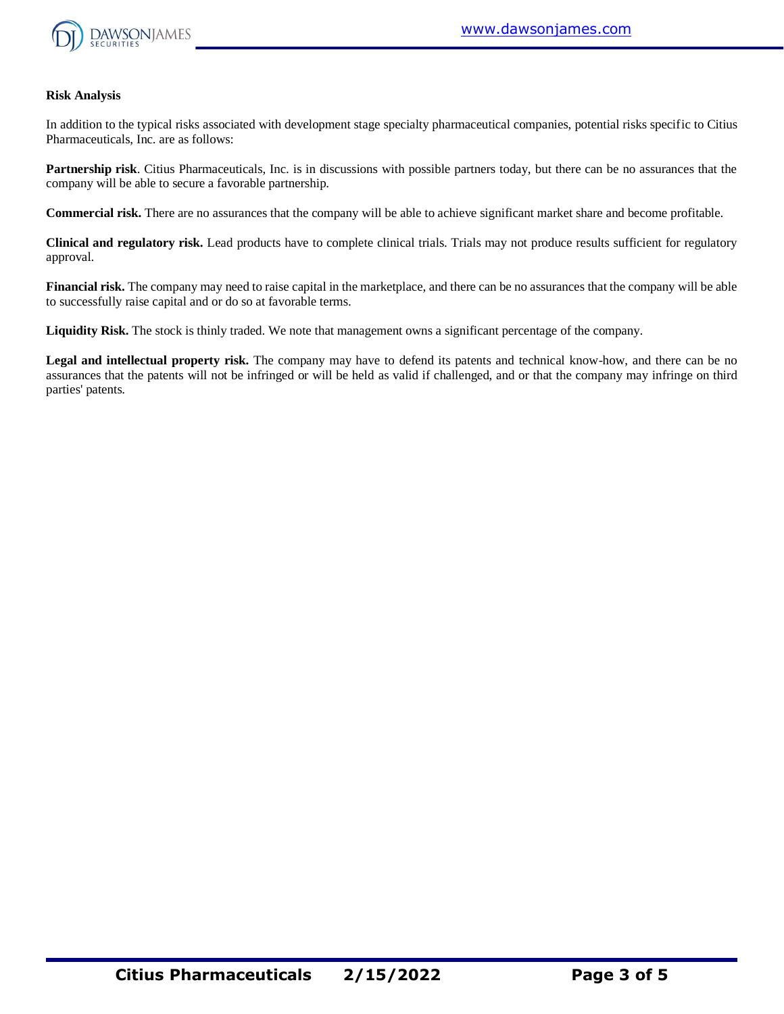

#### **Risk Analysis**

In addition to the typical risks associated with development stage specialty pharmaceutical companies, potential risks specific to Citius Pharmaceuticals, Inc. are as follows:

**Partnership risk**. Citius Pharmaceuticals, Inc. is in discussions with possible partners today, but there can be no assurances that the company will be able to secure a favorable partnership.

**Commercial risk.** There are no assurances that the company will be able to achieve significant market share and become profitable.

**Clinical and regulatory risk.** Lead products have to complete clinical trials. Trials may not produce results sufficient for regulatory approval.

**Financial risk.** The company may need to raise capital in the marketplace, and there can be no assurances that the company will be able to successfully raise capital and or do so at favorable terms.

**Liquidity Risk.** The stock is thinly traded. We note that management owns a significant percentage of the company.

**Legal and intellectual property risk.** The company may have to defend its patents and technical know-how, and there can be no assurances that the patents will not be infringed or will be held as valid if challenged, and or that the company may infringe on third parties' patents.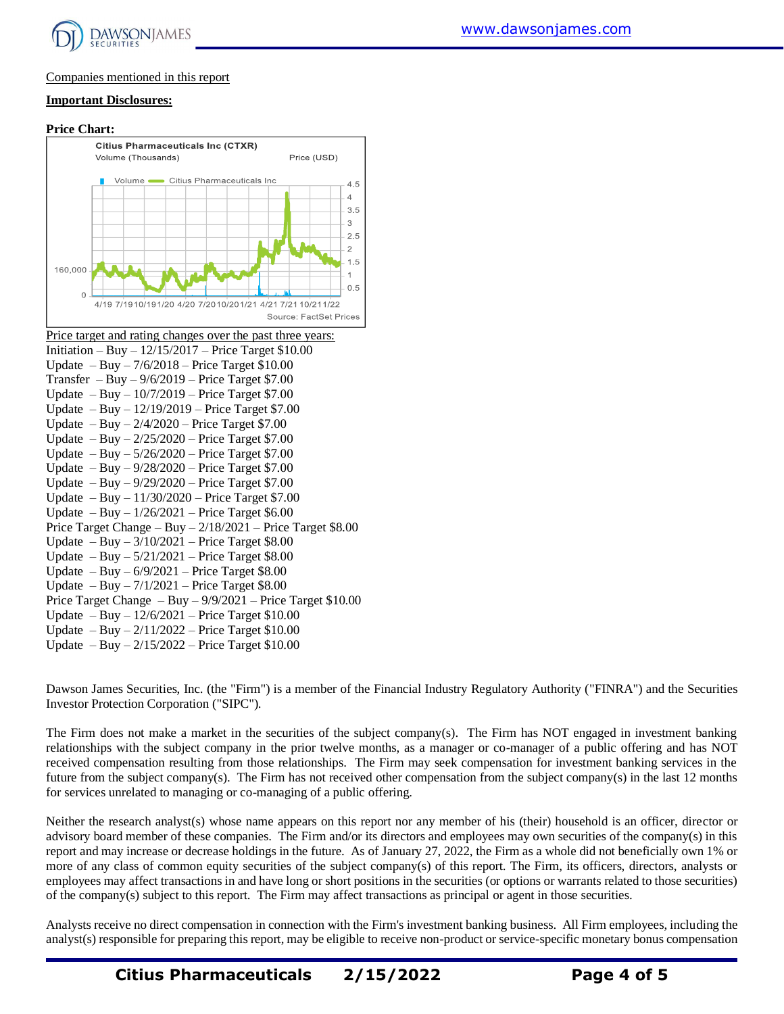

#### Companies mentioned in this report

#### **Important Disclosures:**

## **Price Chart: Citius Pharmaceuticals Inc (CTXR)** Volume (Thousands) Price (USD) Volume -Citius Pharmaceuticals Inc. 160.000

| Price target and rating changes over the past three years:      |
|-----------------------------------------------------------------|
| Initiation – Buy – $12/15/2017$ – Price Target \$10.00          |
| Update $-$ Buy $-7/6/2018$ – Price Target \$10.00               |
| Transfer $-$ Buy $-$ 9/6/2019 – Price Target \$7.00             |
| Update $-$ Buy $-$ 10/7/2019 – Price Target \$7.00              |
| Update $-$ Buy $-$ 12/19/2019 – Price Target \$7.00             |
| Update $-$ Buy $-$ 2/4/2020 $-$ Price Target \$7.00             |
| Update $-$ Buy $- 2/25/2020$ – Price Target \$7.00              |
| Update $-$ Buy $- 5/26/2020 -$ Price Target \$7.00              |
| Update $-$ Buy $-$ 9/28/2020 $-$ Price Target \$7.00            |
| Update $-$ Buy $-$ 9/29/2020 $-$ Price Target \$7.00            |
| Update $-$ Buy $-$ 11/30/2020 – Price Target \$7.00             |
| Update $-$ Buy $-$ 1/26/2021 – Price Target \$6.00              |
| Price Target Change - Buy $-2/18/2021$ - Price Target \$8.00    |
| Update $-$ Buy $-$ 3/10/2021 $-$ Price Target \$8.00            |
| Update $-Buy - 5/21/2021$ – Price Target \$8.00                 |
| Update $-$ Buy $-$ 6/9/2021 – Price Target \$8.00               |
| Update $-$ Buy $-7/1/2021$ – Price Target \$8.00                |
| Price Target Change $-$ Buy $-$ 9/9/2021 – Price Target \$10.00 |
| Update $-$ Buy $-$ 12/6/2021 – Price Target \$10.00             |
| Update $-$ Buy $- 2/11/2022$ – Price Target \$10.00             |
| Update $-$ Buy $- 2/15/2022$ – Price Target \$10.00             |

4/19 7/1910/191/20 4/20 7/2010/201/21 4/21 7/21 10/211/22

Dawson James Securities, Inc. (the "Firm") is a member of the Financial Industry Regulatory Authority ("FINRA") and the Securities Investor Protection Corporation ("SIPC").

 $4.5$  $\overline{A}$  $3.5$ 3  $2.5$  $\mathcal{P}$  $1.5$ 

 $\mathbf{1}$  $0.5$ 

Source: FactSet Prices

The Firm does not make a market in the securities of the subject company(s). The Firm has NOT engaged in investment banking relationships with the subject company in the prior twelve months, as a manager or co-manager of a public offering and has NOT received compensation resulting from those relationships. The Firm may seek compensation for investment banking services in the future from the subject company(s). The Firm has not received other compensation from the subject company(s) in the last 12 months for services unrelated to managing or co-managing of a public offering.

Neither the research analyst(s) whose name appears on this report nor any member of his (their) household is an officer, director or advisory board member of these companies. The Firm and/or its directors and employees may own securities of the company(s) in this report and may increase or decrease holdings in the future. As of January 27, 2022, the Firm as a whole did not beneficially own 1% or more of any class of common equity securities of the subject company(s) of this report. The Firm, its officers, directors, analysts or employees may affect transactions in and have long or short positions in the securities (or options or warrants related to those securities) of the company(s) subject to this report. The Firm may affect transactions as principal or agent in those securities.

Analysts receive no direct compensation in connection with the Firm's investment banking business. All Firm employees, including the analyst(s) responsible for preparing this report, may be eligible to receive non-product or service-specific monetary bonus compensation